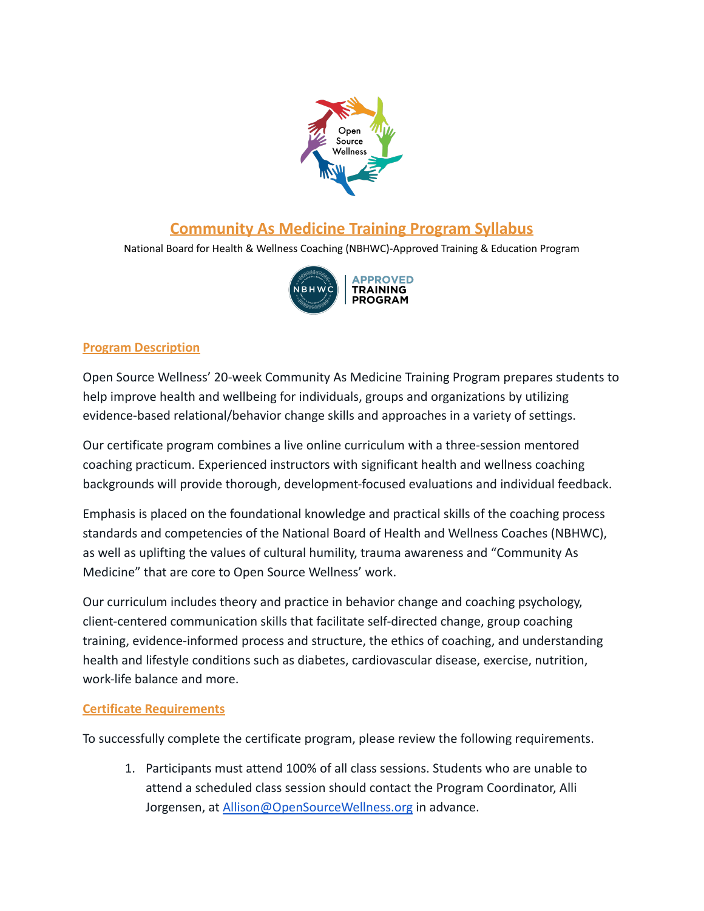

# **Community As Medicine Training Program Syllabus**

National Board for Health & Wellness Coaching (NBHWC)-Approved Training & Education Program



## **Program Description**

Open Source Wellness' 20-week Community As Medicine Training Program prepares students to help improve health and wellbeing for individuals, groups and organizations by utilizing evidence-based relational/behavior change skills and approaches in a variety of settings.

Our certificate program combines a live online curriculum with a three-session mentored coaching practicum. Experienced instructors with significant health and wellness coaching backgrounds will provide thorough, development-focused evaluations and individual feedback.

Emphasis is placed on the foundational knowledge and practical skills of the coaching process standards and competencies of the National Board of Health and Wellness Coaches (NBHWC), as well as uplifting the values of cultural humility, trauma awareness and "Community As Medicine" that are core to Open Source Wellness' work.

Our curriculum includes theory and practice in behavior change and coaching psychology, client-centered communication skills that facilitate self-directed change, group coaching training, evidence-informed process and structure, the ethics of coaching, and understanding health and lifestyle conditions such as diabetes, cardiovascular disease, exercise, nutrition, work-life balance and more.

#### **Certificate Requirements**

To successfully complete the certificate program, please review the following requirements.

1. Participants must attend 100% of all class sessions. Students who are unable to attend a scheduled class session should contact the Program Coordinator, Alli Jorgensen, at [Allison@OpenSourceWellness.org](mailto:allison@opensourcewellness.org) in advance.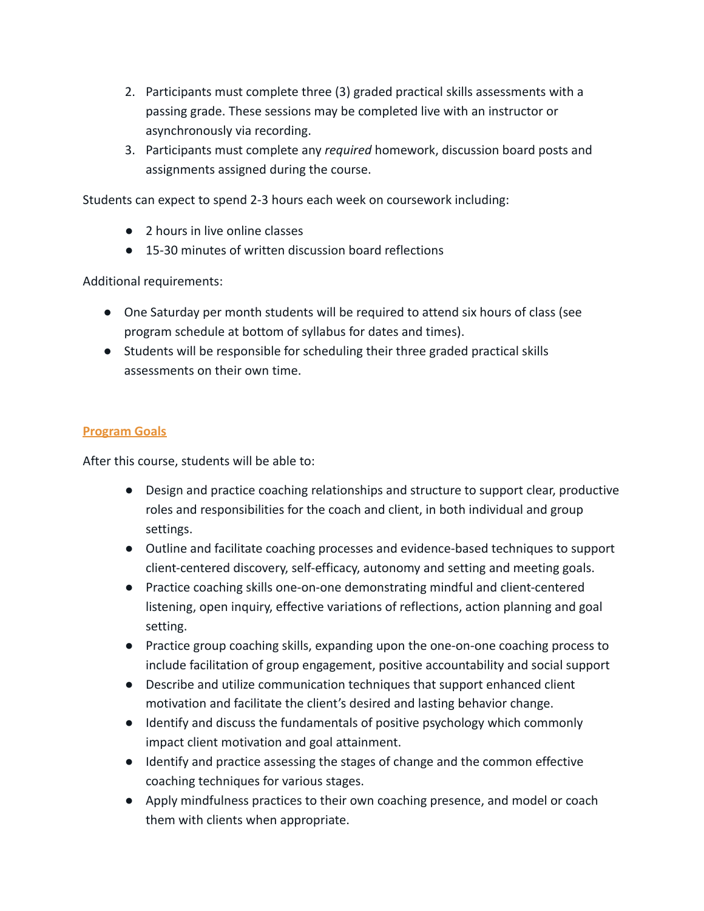- 2. Participants must complete three (3) graded practical skills assessments with a passing grade. These sessions may be completed live with an instructor or asynchronously via recording.
- 3. Participants must complete any *required* homework, discussion board posts and assignments assigned during the course.

Students can expect to spend 2-3 hours each week on coursework including:

- 2 hours in live online classes
- 15-30 minutes of written discussion board reflections

Additional requirements:

- One Saturday per month students will be required to attend six hours of class (see program schedule at bottom of syllabus for dates and times).
- Students will be responsible for scheduling their three graded practical skills assessments on their own time.

#### **Program Goals**

After this course, students will be able to:

- Design and practice coaching relationships and structure to support clear, productive roles and responsibilities for the coach and client, in both individual and group settings.
- Outline and facilitate coaching processes and evidence-based techniques to support client-centered discovery, self-efficacy, autonomy and setting and meeting goals.
- Practice coaching skills one-on-one demonstrating mindful and client-centered listening, open inquiry, effective variations of reflections, action planning and goal setting.
- Practice group coaching skills, expanding upon the one-on-one coaching process to include facilitation of group engagement, positive accountability and social support
- Describe and utilize communication techniques that support enhanced client motivation and facilitate the client's desired and lasting behavior change.
- Identify and discuss the fundamentals of positive psychology which commonly impact client motivation and goal attainment.
- Identify and practice assessing the stages of change and the common effective coaching techniques for various stages.
- Apply mindfulness practices to their own coaching presence, and model or coach them with clients when appropriate.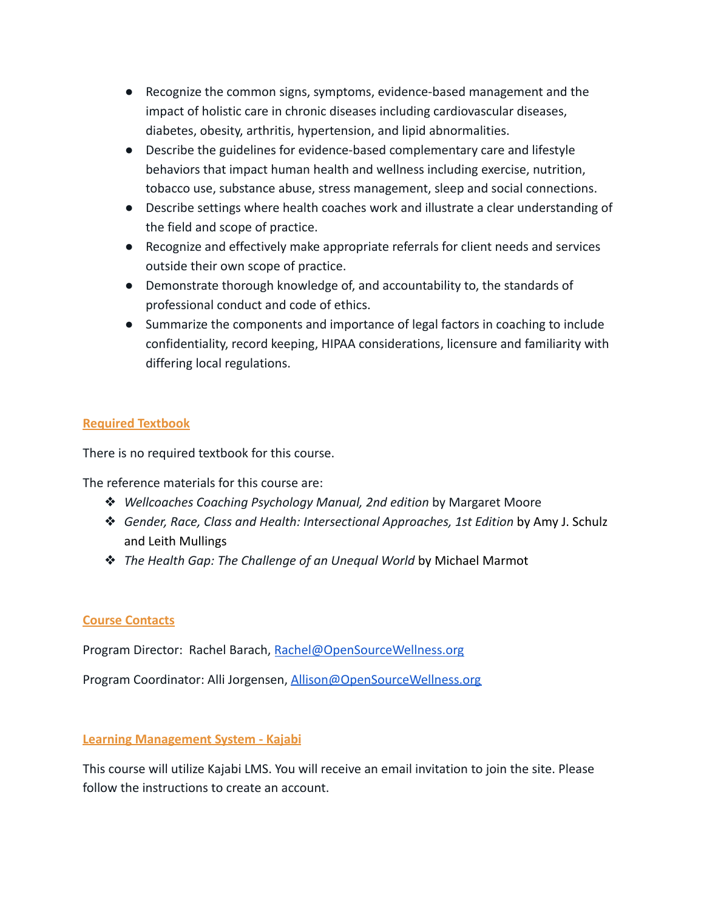- Recognize the common signs, symptoms, evidence-based management and the impact of holistic care in chronic diseases including cardiovascular diseases, diabetes, obesity, arthritis, hypertension, and lipid abnormalities.
- Describe the guidelines for evidence-based complementary care and lifestyle behaviors that impact human health and wellness including exercise, nutrition, tobacco use, substance abuse, stress management, sleep and social connections.
- Describe settings where health coaches work and illustrate a clear understanding of the field and scope of practice.
- Recognize and effectively make appropriate referrals for client needs and services outside their own scope of practice.
- Demonstrate thorough knowledge of, and accountability to, the standards of professional conduct and code of ethics.
- Summarize the components and importance of legal factors in coaching to include confidentiality, record keeping, HIPAA considerations, licensure and familiarity with differing local regulations.

## **Required Textbook**

There is no required textbook for this course.

The reference materials for this course are:

- ❖ *Wellcoaches Coaching Psychology Manual, 2nd edition* by Margaret Moore
- ❖ *[Gender, Race, Class and Health: Intersectional Approaches, 1st Edition](https://www.amazon.com/Gender-Race-Class-Health-Schulz/dp/0787976636)* by Amy J. Schulz and Leith Mullings
- ❖ *[The Health Gap: The Challenge of an Unequal World](https://www.amazon.com/Health-Gap-Challenge-Unequal-World/dp/1632860783/ref=asc_df_1632860783/?tag=hyprod-20&linkCode=df0&hvadid=312721411869&hvpos=&hvnetw=g&hvrand=7749418282066589136&hvpone=&hvptwo=&hvqmt=&hvdev=c&hvdvcmdl=&hvlocint=&hvlocphy=1016584&hvtargid=pla-457208582794&psc=1)* by Michael Marmot

## **Course Contacts**

Program Director: Rachel Barach, [Rachel](mailto:rachel@opensourcewellness.org)[@OpenSourceWellness.org](mailto:ana@opensourcewellness.org)

Program Coordinator: Alli Jorgensen, [Allison@OpenSourceWellness.org](mailto:allison@opensourcewellness.org)

## **Learning Management System - Kajabi**

This course will utilize Kajabi LMS. You will receive an email invitation to join the site. Please follow the instructions to create an account.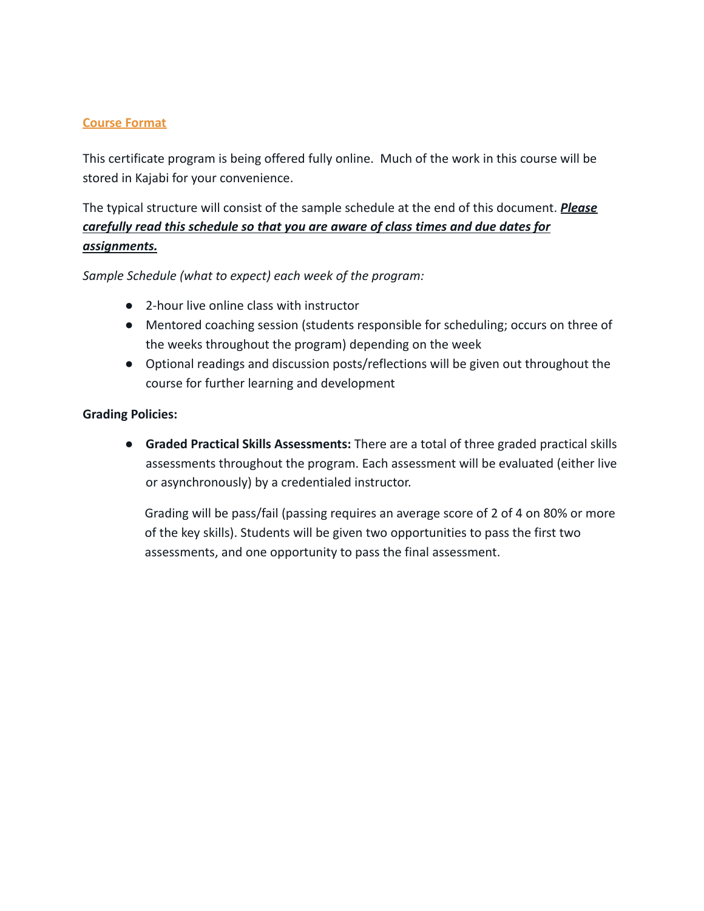#### **Course Format**

This certificate program is being offered fully online. Much of the work in this course will be stored in Kajabi for your convenience.

# The typical structure will consist of the sample schedule at the end of this document. *Please carefully read this schedule so that you are aware of class times and due dates for assignments.*

*Sample Schedule (what to expect) each week of the program:*

- 2-hour live online class with instructor
- Mentored coaching session (students responsible for scheduling; occurs on three of the weeks throughout the program) depending on the week
- Optional readings and discussion posts/reflections will be given out throughout the course for further learning and development

#### **Grading Policies:**

● **Graded Practical Skills Assessments:** There are a total of three graded practical skills assessments throughout the program. Each assessment will be evaluated (either live or asynchronously) by a credentialed instructor.

Grading will be pass/fail (passing requires an average score of 2 of 4 on 80% or more of the key skills). Students will be given two opportunities to pass the first two assessments, and one opportunity to pass the final assessment.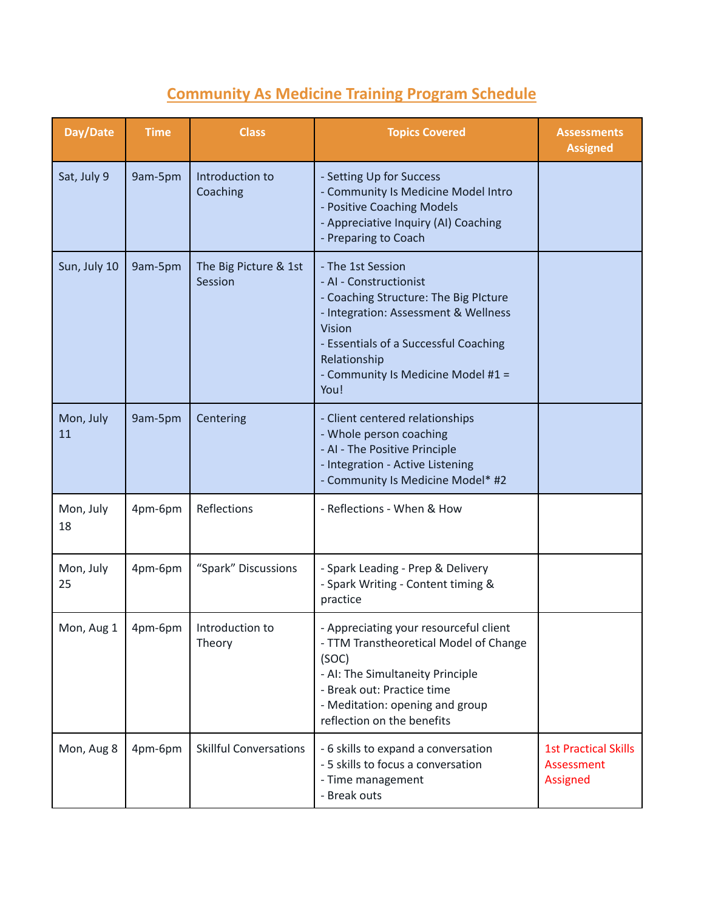# **Community As Medicine Training Program Schedule**

| Day/Date        | <b>Time</b> | <b>Class</b>                     | <b>Topics Covered</b>                                                                                                                                                                                                                         | <b>Assessments</b><br><b>Assigned</b>                        |
|-----------------|-------------|----------------------------------|-----------------------------------------------------------------------------------------------------------------------------------------------------------------------------------------------------------------------------------------------|--------------------------------------------------------------|
| Sat, July 9     | 9am-5pm     | Introduction to<br>Coaching      | - Setting Up for Success<br>- Community Is Medicine Model Intro<br>- Positive Coaching Models<br>- Appreciative Inquiry (AI) Coaching<br>- Preparing to Coach                                                                                 |                                                              |
| Sun, July 10    | 9am-5pm     | The Big Picture & 1st<br>Session | - The 1st Session<br>- AI - Constructionist<br>- Coaching Structure: The Big Plcture<br>- Integration: Assessment & Wellness<br>Vision<br>- Essentials of a Successful Coaching<br>Relationship<br>- Community Is Medicine Model #1 =<br>You! |                                                              |
| Mon, July<br>11 | 9am-5pm     | Centering                        | - Client centered relationships<br>- Whole person coaching<br>- AI - The Positive Principle<br>- Integration - Active Listening<br>- Community Is Medicine Model* #2                                                                          |                                                              |
| Mon, July<br>18 | 4pm-6pm     | Reflections                      | - Reflections - When & How                                                                                                                                                                                                                    |                                                              |
| Mon, July<br>25 | 4pm-6pm     | "Spark" Discussions              | - Spark Leading - Prep & Delivery<br>- Spark Writing - Content timing &<br>practice                                                                                                                                                           |                                                              |
| Mon, Aug 1      | 4pm-6pm     | Introduction to<br>Theory        | - Appreciating your resourceful client<br>- TTM Transtheoretical Model of Change<br>(SOC)<br>- AI: The Simultaneity Principle<br>- Break out: Practice time<br>- Meditation: opening and group<br>reflection on the benefits                  |                                                              |
| Mon, Aug 8      | 4pm-6pm     | <b>Skillful Conversations</b>    | - 6 skills to expand a conversation<br>- 5 skills to focus a conversation<br>- Time management<br>- Break outs                                                                                                                                | <b>1st Practical Skills</b><br>Assessment<br><b>Assigned</b> |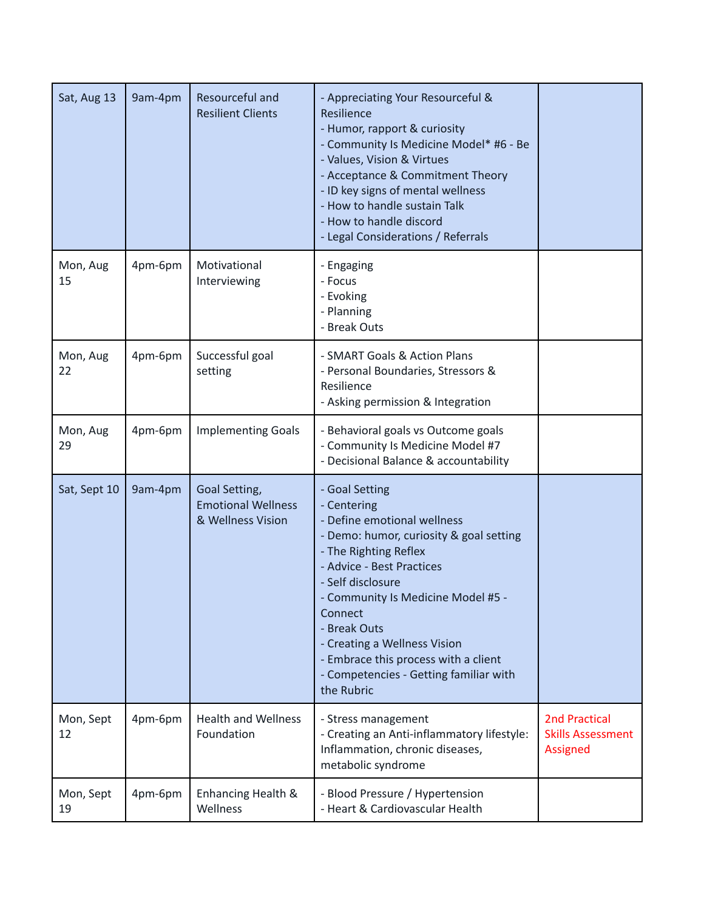| Sat, Aug 13     | 9am-4pm | Resourceful and<br><b>Resilient Clients</b>                     | - Appreciating Your Resourceful &<br>Resilience<br>- Humor, rapport & curiosity<br>- Community Is Medicine Model* #6 - Be<br>- Values, Vision & Virtues<br>- Acceptance & Commitment Theory<br>- ID key signs of mental wellness<br>- How to handle sustain Talk<br>- How to handle discord<br>- Legal Considerations / Referrals                                                   |                                                                     |
|-----------------|---------|-----------------------------------------------------------------|-------------------------------------------------------------------------------------------------------------------------------------------------------------------------------------------------------------------------------------------------------------------------------------------------------------------------------------------------------------------------------------|---------------------------------------------------------------------|
| Mon, Aug<br>15  | 4pm-6pm | Motivational<br>Interviewing                                    | - Engaging<br>- Focus<br>- Evoking<br>- Planning<br>- Break Outs                                                                                                                                                                                                                                                                                                                    |                                                                     |
| Mon, Aug<br>22  | 4pm-6pm | Successful goal<br>setting                                      | - SMART Goals & Action Plans<br>- Personal Boundaries, Stressors &<br>Resilience<br>- Asking permission & Integration                                                                                                                                                                                                                                                               |                                                                     |
| Mon, Aug<br>29  | 4pm-6pm | <b>Implementing Goals</b>                                       | - Behavioral goals vs Outcome goals<br>- Community Is Medicine Model #7<br>- Decisional Balance & accountability                                                                                                                                                                                                                                                                    |                                                                     |
| Sat, Sept 10    | 9am-4pm | Goal Setting,<br><b>Emotional Wellness</b><br>& Wellness Vision | - Goal Setting<br>- Centering<br>- Define emotional wellness<br>- Demo: humor, curiosity & goal setting<br>- The Righting Reflex<br>- Advice - Best Practices<br>- Self disclosure<br>- Community Is Medicine Model #5 -<br>Connect<br>- Break Outs<br>- Creating a Wellness Vision<br>- Embrace this process with a client<br>- Competencies - Getting familiar with<br>the Rubric |                                                                     |
| Mon, Sept<br>12 | 4pm-6pm | <b>Health and Wellness</b><br>Foundation                        | - Stress management<br>- Creating an Anti-inflammatory lifestyle:<br>Inflammation, chronic diseases,<br>metabolic syndrome                                                                                                                                                                                                                                                          | <b>2nd Practical</b><br><b>Skills Assessment</b><br><b>Assigned</b> |
| Mon, Sept<br>19 | 4pm-6pm | Enhancing Health &<br>Wellness                                  | - Blood Pressure / Hypertension<br>- Heart & Cardiovascular Health                                                                                                                                                                                                                                                                                                                  |                                                                     |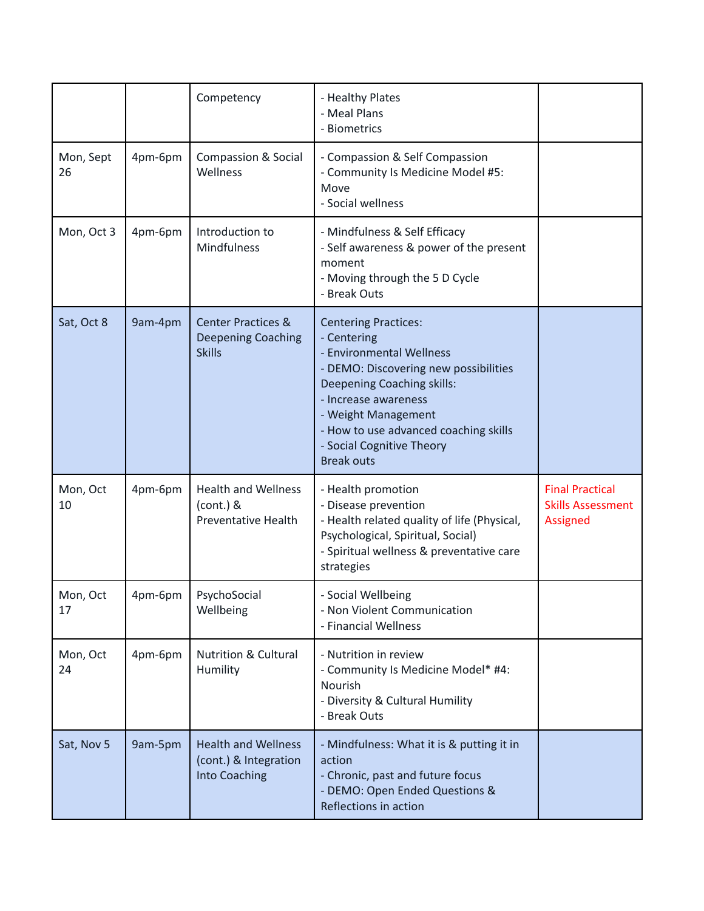|                 |         | Competency                                                                  | - Healthy Plates<br>- Meal Plans<br>- Biometrics                                                                                                                                                                                                                                        |                                                                       |
|-----------------|---------|-----------------------------------------------------------------------------|-----------------------------------------------------------------------------------------------------------------------------------------------------------------------------------------------------------------------------------------------------------------------------------------|-----------------------------------------------------------------------|
| Mon, Sept<br>26 | 4pm-6pm | <b>Compassion &amp; Social</b><br>Wellness                                  | - Compassion & Self Compassion<br>- Community Is Medicine Model #5:<br>Move<br>- Social wellness                                                                                                                                                                                        |                                                                       |
| Mon, Oct 3      | 4pm-6pm | Introduction to<br>Mindfulness                                              | - Mindfulness & Self Efficacy<br>- Self awareness & power of the present<br>moment<br>- Moving through the 5 D Cycle<br>- Break Outs                                                                                                                                                    |                                                                       |
| Sat, Oct 8      | 9am-4pm | <b>Center Practices &amp;</b><br><b>Deepening Coaching</b><br><b>Skills</b> | <b>Centering Practices:</b><br>- Centering<br>- Environmental Wellness<br>- DEMO: Discovering new possibilities<br>Deepening Coaching skills:<br>- Increase awareness<br>- Weight Management<br>- How to use advanced coaching skills<br>- Social Cognitive Theory<br><b>Break outs</b> |                                                                       |
| Mon, Oct<br>10  | 4pm-6pm | <b>Health and Wellness</b><br>$(cont.)$ &<br><b>Preventative Health</b>     | - Health promotion<br>- Disease prevention<br>- Health related quality of life (Physical,<br>Psychological, Spiritual, Social)<br>- Spiritual wellness & preventative care<br>strategies                                                                                                | <b>Final Practical</b><br><b>Skills Assessment</b><br><b>Assigned</b> |
| Mon, Oct<br>17  | 4pm-6pm | PsychoSocial<br>Wellbeing                                                   | - Social Wellbeing<br>- Non Violent Communication<br>- Financial Wellness                                                                                                                                                                                                               |                                                                       |
| Mon, Oct<br>24  | 4pm-6pm | <b>Nutrition &amp; Cultural</b><br>Humility                                 | - Nutrition in review<br>- Community Is Medicine Model* #4:<br>Nourish<br>- Diversity & Cultural Humility<br>- Break Outs                                                                                                                                                               |                                                                       |
| Sat, Nov 5      | 9am-5pm | <b>Health and Wellness</b><br>(cont.) & Integration<br><b>Into Coaching</b> | - Mindfulness: What it is & putting it in<br>action<br>- Chronic, past and future focus<br>- DEMO: Open Ended Questions &<br>Reflections in action                                                                                                                                      |                                                                       |